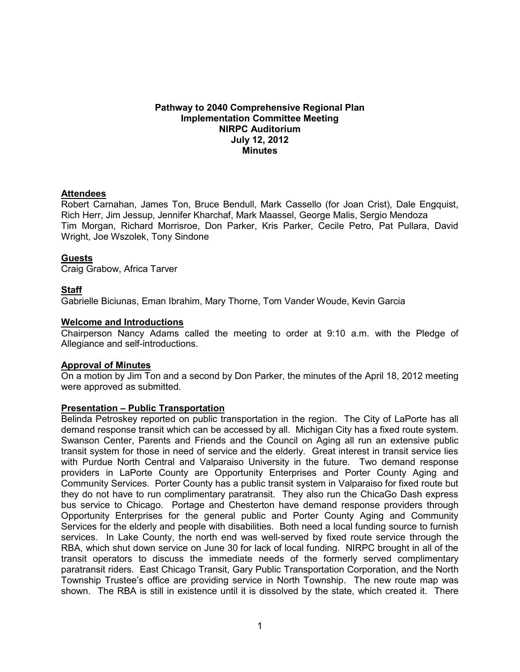#### **Pathway to 2040 Comprehensive Regional Plan Implementation Committee Meeting NIRPC Auditorium July 12, 2012 Minutes**

## **Attendees**

Robert Carnahan, James Ton, Bruce Bendull, Mark Cassello (for Joan Crist), Dale Engquist, Rich Herr, Jim Jessup, Jennifer Kharchaf, Mark Maassel, George Malis, Sergio Mendoza Tim Morgan, Richard Morrisroe, Don Parker, Kris Parker, Cecile Petro, Pat Pullara, David Wright, Joe Wszolek, Tony Sindone

## **Guests**

Craig Grabow, Africa Tarver

## **Staff**

Gabrielle Biciunas, Eman Ibrahim, Mary Thorne, Tom Vander Woude, Kevin Garcia

#### **Welcome and Introductions**

Chairperson Nancy Adams called the meeting to order at 9:10 a.m. with the Pledge of Allegiance and self-introductions.

#### **Approval of Minutes**

On a motion by Jim Ton and a second by Don Parker, the minutes of the April 18, 2012 meeting were approved as submitted.

#### **Presentation – Public Transportation**

Belinda Petroskey reported on public transportation in the region. The City of LaPorte has all demand response transit which can be accessed by all. Michigan City has a fixed route system. Swanson Center, Parents and Friends and the Council on Aging all run an extensive public transit system for those in need of service and the elderly. Great interest in transit service lies with Purdue North Central and Valparaiso University in the future. Two demand response providers in LaPorte County are Opportunity Enterprises and Porter County Aging and Community Services. Porter County has a public transit system in Valparaiso for fixed route but they do not have to run complimentary paratransit. They also run the ChicaGo Dash express bus service to Chicago. Portage and Chesterton have demand response providers through Opportunity Enterprises for the general public and Porter County Aging and Community Services for the elderly and people with disabilities. Both need a local funding source to furnish services. In Lake County, the north end was well-served by fixed route service through the RBA, which shut down service on June 30 for lack of local funding. NIRPC brought in all of the transit operators to discuss the immediate needs of the formerly served complimentary paratransit riders. East Chicago Transit, Gary Public Transportation Corporation, and the North Township Trustee's office are providing service in North Township. The new route map was shown. The RBA is still in existence until it is dissolved by the state, which created it. There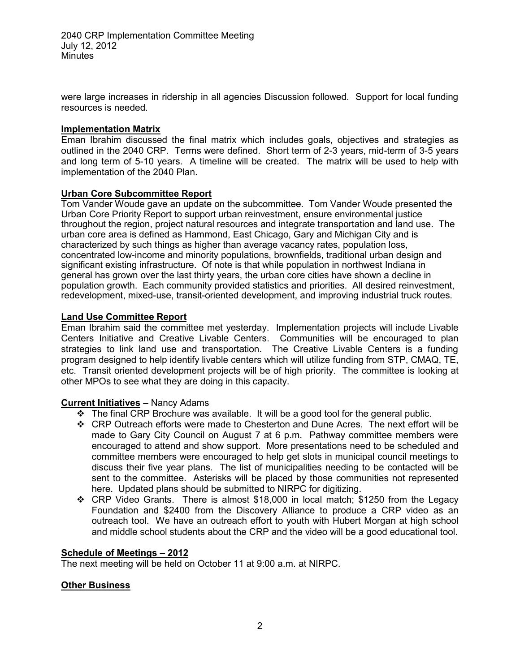were large increases in ridership in all agencies Discussion followed. Support for local funding resources is needed.

## **Implementation Matrix**

Eman Ibrahim discussed the final matrix which includes goals, objectives and strategies as outlined in the 2040 CRP. Terms were defined. Short term of 2-3 years, mid-term of 3-5 years and long term of 5-10 years. A timeline will be created. The matrix will be used to help with implementation of the 2040 Plan.

## **Urban Core Subcommittee Report**

Tom Vander Woude gave an update on the subcommittee. Tom Vander Woude presented the Urban Core Priority Report to support urban reinvestment, ensure environmental justice throughout the region, project natural resources and integrate transportation and land use. The urban core area is defined as Hammond, East Chicago, Gary and Michigan City and is characterized by such things as higher than average vacancy rates, population loss, concentrated low-income and minority populations, brownfields, traditional urban design and significant existing infrastructure. Of note is that while population in northwest Indiana in general has grown over the last thirty years, the urban core cities have shown a decline in population growth. Each community provided statistics and priorities. All desired reinvestment, redevelopment, mixed-use, transit-oriented development, and improving industrial truck routes.

## **Land Use Committee Report**

Eman Ibrahim said the committee met yesterday. Implementation projects will include Livable Centers Initiative and Creative Livable Centers. Communities will be encouraged to plan strategies to link land use and transportation. The Creative Livable Centers is a funding program designed to help identify livable centers which will utilize funding from STP, CMAQ, TE, etc. Transit oriented development projects will be of high priority. The committee is looking at other MPOs to see what they are doing in this capacity.

# **Current Initiatives –** Nancy Adams

- $\div$  The final CRP Brochure was available. It will be a good tool for the general public.
- CRP Outreach efforts were made to Chesterton and Dune Acres. The next effort will be made to Gary City Council on August 7 at 6 p.m. Pathway committee members were encouraged to attend and show support. More presentations need to be scheduled and committee members were encouraged to help get slots in municipal council meetings to discuss their five year plans. The list of municipalities needing to be contacted will be sent to the committee. Asterisks will be placed by those communities not represented here. Updated plans should be submitted to NIRPC for digitizing.
- CRP Video Grants. There is almost \$18,000 in local match; \$1250 from the Legacy Foundation and \$2400 from the Discovery Alliance to produce a CRP video as an outreach tool. We have an outreach effort to youth with Hubert Morgan at high school and middle school students about the CRP and the video will be a good educational tool.

#### **Schedule of Meetings – 2012**

The next meeting will be held on October 11 at 9:00 a.m. at NIRPC.

# **Other Business**